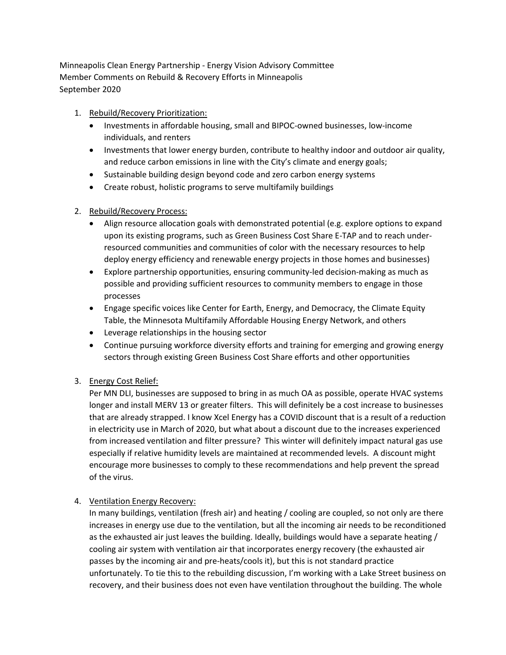Minneapolis Clean Energy Partnership - Energy Vision Advisory Committee Member Comments on Rebuild & Recovery Efforts in Minneapolis September 2020

- 1. Rebuild/Recovery Prioritization:
	- Investments in affordable housing, small and BIPOC-owned businesses, low-income individuals, and renters
	- Investments that lower energy burden, contribute to healthy indoor and outdoor air quality, and reduce carbon emissions in line with the City's climate and energy goals;
	- Sustainable building design beyond code and zero carbon energy systems
	- Create robust, holistic programs to serve multifamily buildings

# 2. Rebuild/Recovery Process:

- Align resource allocation goals with demonstrated potential (e.g. explore options to expand upon its existing programs, such as Green Business Cost Share E-TAP and to reach underresourced communities and communities of color with the necessary resources to help deploy energy efficiency and renewable energy projects in those homes and businesses)
- Explore partnership opportunities, ensuring community-led decision-making as much as possible and providing sufficient resources to community members to engage in those processes
- Engage specific voices like Center for Earth, Energy, and Democracy, the Climate Equity Table, the Minnesota Multifamily Affordable Housing Energy Network, and others
- Leverage relationships in the housing sector
- Continue pursuing workforce diversity efforts and training for emerging and growing energy sectors through existing Green Business Cost Share efforts and other opportunities

# 3. Energy Cost Relief:

Per MN DLI, businesses are supposed to bring in as much OA as possible, operate HVAC systems longer and install MERV 13 or greater filters. This will definitely be a cost increase to businesses that are already strapped. I know Xcel Energy has a COVID discount that is a result of a reduction in electricity use in March of 2020, but what about a discount due to the increases experienced from increased ventilation and filter pressure? This winter will definitely impact natural gas use especially if relative humidity levels are maintained at recommended levels. A discount might encourage more businesses to comply to these recommendations and help prevent the spread of the virus.

## 4. Ventilation Energy Recovery:

In many buildings, ventilation (fresh air) and heating / cooling are coupled, so not only are there increases in energy use due to the ventilation, but all the incoming air needs to be reconditioned as the exhausted air just leaves the building. Ideally, buildings would have a separate heating / cooling air system with ventilation air that incorporates energy recovery (the exhausted air passes by the incoming air and pre-heats/cools it), but this is not standard practice unfortunately. To tie this to the rebuilding discussion, I'm working with a Lake Street business on recovery, and their business does not even have ventilation throughout the building. The whole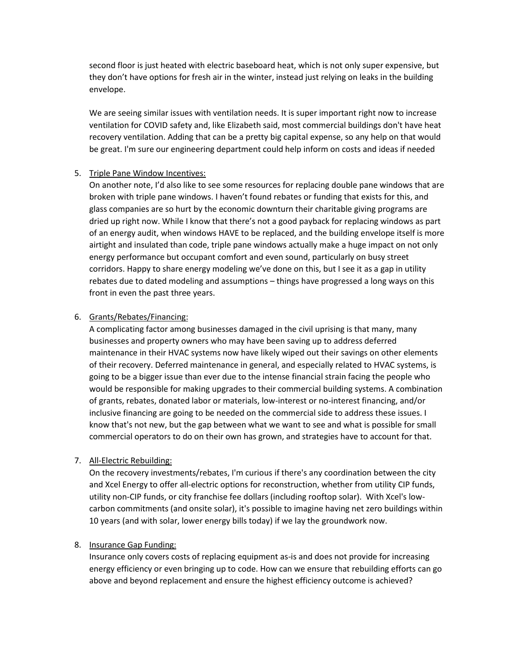second floor is just heated with electric baseboard heat, which is not only super expensive, but they don't have options for fresh air in the winter, instead just relying on leaks in the building envelope.

We are seeing similar issues with ventilation needs. It is super important right now to increase ventilation for COVID safety and, like Elizabeth said, most commercial buildings don't have heat recovery ventilation. Adding that can be a pretty big capital expense, so any help on that would be great. I'm sure our engineering department could help inform on costs and ideas if needed

### 5. Triple Pane Window Incentives:

On another note, I'd also like to see some resources for replacing double pane windows that are broken with triple pane windows. I haven't found rebates or funding that exists for this, and glass companies are so hurt by the economic downturn their charitable giving programs are dried up right now. While I know that there's not a good payback for replacing windows as part of an energy audit, when windows HAVE to be replaced, and the building envelope itself is more airtight and insulated than code, triple pane windows actually make a huge impact on not only energy performance but occupant comfort and even sound, particularly on busy street corridors. Happy to share energy modeling we've done on this, but I see it as a gap in utility rebates due to dated modeling and assumptions – things have progressed a long ways on this front in even the past three years.

#### 6. Grants/Rebates/Financing:

A complicating factor among businesses damaged in the civil uprising is that many, many businesses and property owners who may have been saving up to address deferred maintenance in their HVAC systems now have likely wiped out their savings on other elements of their recovery. Deferred maintenance in general, and especially related to HVAC systems, is going to be a bigger issue than ever due to the intense financial strain facing the people who would be responsible for making upgrades to their commercial building systems. A combination of grants, rebates, donated labor or materials, low-interest or no-interest financing, and/or inclusive financing are going to be needed on the commercial side to address these issues. I know that's not new, but the gap between what we want to see and what is possible for small commercial operators to do on their own has grown, and strategies have to account for that.

### 7. All-Electric Rebuilding:

On the recovery investments/rebates, I'm curious if there's any coordination between the city and Xcel Energy to offer all-electric options for reconstruction, whether from utility CIP funds, utility non-CIP funds, or city franchise fee dollars (including rooftop solar). With Xcel's lowcarbon commitments (and onsite solar), it's possible to imagine having net zero buildings within 10 years (and with solar, lower energy bills today) if we lay the groundwork now.

### 8. Insurance Gap Funding:

Insurance only covers costs of replacing equipment as-is and does not provide for increasing energy efficiency or even bringing up to code. How can we ensure that rebuilding efforts can go above and beyond replacement and ensure the highest efficiency outcome is achieved?